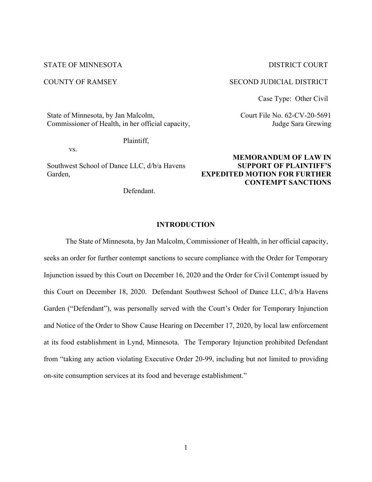## STATE OF MINNESOTA DISTRICT COURT

### COUNTY OF RAMSEY SECOND JUDICIAL DISTRICT

Case Type: Other Civil

Judge Sara Grewing

Court File No. 62-CV-20-5691

State of Minnesota, by Jan Malcolm, Commissioner of Health, in her official capacity,

Plaintiff,

vs.

Southwest School of Dance LLC, d/b/a Havens Garden,

# **MEMORANDUM OF LAW IN SUPPORT OF PLAINTIFF'S EXPEDITED MOTION FOR FURTHER CONTEMPT SANCTIONS**

Defendant.

## **INTRODUCTION**

The State of Minnesota, by Jan Malcolm, Commissioner of Health, in her official capacity, seeks an order for further contempt sanctions to secure compliance with the Order for Temporary Injunction issued by this Court on December 16, 2020 and the Order for Civil Contempt issued by this Court on December 18, 2020. Defendant Southwest School of Dance LLC, d/b/a Havens Garden ("Defendant"), was personally served with the Court's Order for Temporary Injunction and Notice of the Order to Show Cause Hearing on December 17, 2020, by local law enforcement at its food establishment in Lynd, Minnesota. The Temporary Injunction prohibited Defendant from "taking any action violating Executive Order 20-99, including but not limited to providing on-site consumption services at its food and beverage establishment."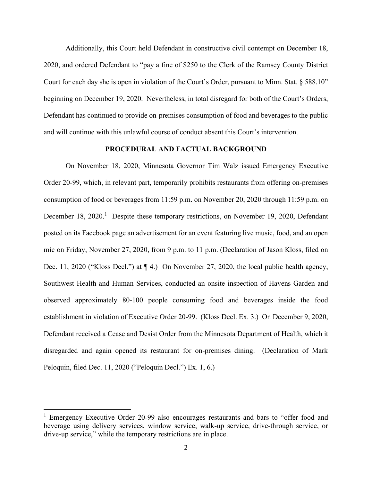Additionally, this Court held Defendant in constructive civil contempt on December 18, 2020, and ordered Defendant to "pay a fine of \$250 to the Clerk of the Ramsey County District Court for each day she is open in violation of the Court's Order, pursuant to Minn. Stat. § 588.10" beginning on December 19, 2020. Nevertheless, in total disregard for both of the Court's Orders, Defendant has continued to provide on-premises consumption of food and beverages to the public and will continue with this unlawful course of conduct absent this Court's intervention.

### **PROCEDURAL AND FACTUAL BACKGROUND**

On November 18, 2020, Minnesota Governor Tim Walz issued Emergency Executive Order 20-99, which, in relevant part, temporarily prohibits restaurants from offering on-premises consumption of food or beverages from 11:59 p.m. on November 20, 2020 through 11:59 p.m. on December [1](#page-1-0)8, 2020.<sup>1</sup> Despite these temporary restrictions, on November 19, 2020, Defendant posted on its Facebook page an advertisement for an event featuring live music, food, and an open mic on Friday, November 27, 2020, from 9 p.m. to 11 p.m. (Declaration of Jason Kloss, filed on Dec. 11, 2020 ("Kloss Decl.") at  $\P$  4.) On November 27, 2020, the local public health agency, Southwest Health and Human Services, conducted an onsite inspection of Havens Garden and observed approximately 80-100 people consuming food and beverages inside the food establishment in violation of Executive Order 20-99. (Kloss Decl. Ex. 3.) On December 9, 2020, Defendant received a Cease and Desist Order from the Minnesota Department of Health, which it disregarded and again opened its restaurant for on-premises dining. (Declaration of Mark Peloquin, filed Dec. 11, 2020 ("Peloquin Decl.") Ex. 1, 6.)

<span id="page-1-0"></span><sup>&</sup>lt;sup>1</sup> Emergency Executive Order 20-99 also encourages restaurants and bars to "offer food and beverage using delivery services, window service, walk-up service, drive-through service, or drive-up service," while the temporary restrictions are in place.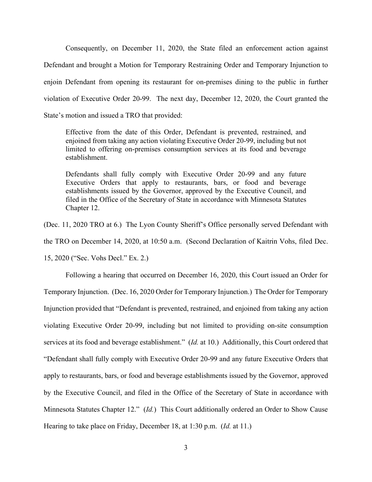Consequently, on December 11, 2020, the State filed an enforcement action against Defendant and brought a Motion for Temporary Restraining Order and Temporary Injunction to enjoin Defendant from opening its restaurant for on-premises dining to the public in further violation of Executive Order 20-99. The next day, December 12, 2020, the Court granted the State's motion and issued a TRO that provided:

Effective from the date of this Order, Defendant is prevented, restrained, and enjoined from taking any action violating Executive Order 20-99, including but not limited to offering on-premises consumption services at its food and beverage establishment.

Defendants shall fully comply with Executive Order 20-99 and any future Executive Orders that apply to restaurants, bars, or food and beverage establishments issued by the Governor, approved by the Executive Council, and filed in the Office of the Secretary of State in accordance with Minnesota Statutes Chapter 12.

(Dec. 11, 2020 TRO at 6.) The Lyon County Sheriff's Office personally served Defendant with

the TRO on December 14, 2020, at 10:50 a.m. (Second Declaration of Kaitrin Vohs, filed Dec.

15, 2020 ("Sec. Vohs Decl." Ex. 2.)

Following a hearing that occurred on December 16, 2020, this Court issued an Order for Temporary Injunction. (Dec. 16, 2020 Order for Temporary Injunction.) The Order for Temporary Injunction provided that "Defendant is prevented, restrained, and enjoined from taking any action violating Executive Order 20-99, including but not limited to providing on-site consumption services at its food and beverage establishment." (*Id.* at 10.) Additionally, this Court ordered that "Defendant shall fully comply with Executive Order 20-99 and any future Executive Orders that apply to restaurants, bars, or food and beverage establishments issued by the Governor, approved by the Executive Council, and filed in the Office of the Secretary of State in accordance with Minnesota Statutes Chapter 12." (*Id.*) This Court additionally ordered an Order to Show Cause Hearing to take place on Friday, December 18, at 1:30 p.m. (*Id.* at 11.)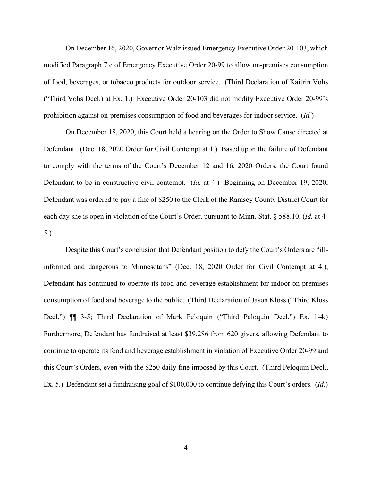On December 16, 2020, Governor Walz issued Emergency Executive Order 20-103, which modified Paragraph 7.c of Emergency Executive Order 20-99 to allow on-premises consumption of food, beverages, or tobacco products for outdoor service. (Third Declaration of Kaitrin Vohs ("Third Vohs Decl.) at Ex. 1.) Executive Order 20-103 did not modify Executive Order 20-99's prohibition against on-premises consumption of food and beverages for indoor service. (*Id.*)

On December 18, 2020, this Court held a hearing on the Order to Show Cause directed at Defendant. (Dec. 18, 2020 Order for Civil Contempt at 1.) Based upon the failure of Defendant to comply with the terms of the Court's December 12 and 16, 2020 Orders, the Court found Defendant to be in constructive civil contempt. (*Id.* at 4.) Beginning on December 19, 2020, Defendant was ordered to pay a fine of \$250 to the Clerk of the Ramsey County District Court for each day she is open in violation of the Court's Order, pursuant to Minn. Stat. § 588.10. (*Id.* at 4- 5.)

Despite this Court's conclusion that Defendant position to defy the Court's Orders are "illinformed and dangerous to Minnesotans" (Dec. 18, 2020 Order for Civil Contempt at 4.), Defendant has continued to operate its food and beverage establishment for indoor on-premises consumption of food and beverage to the public. (Third Declaration of Jason Kloss ("Third Kloss Decl.") ¶¶ 3-5; Third Declaration of Mark Peloquin ("Third Peloquin Decl.") Ex. 1-4.) Furthermore, Defendant has fundraised at least \$39,286 from 620 givers, allowing Defendant to continue to operate its food and beverage establishment in violation of Executive Order 20-99 and this Court's Orders, even with the \$250 daily fine imposed by this Court. (Third Peloquin Decl., Ex. 5.) Defendant set a fundraising goal of \$100,000 to continue defying this Court's orders. (*Id.*)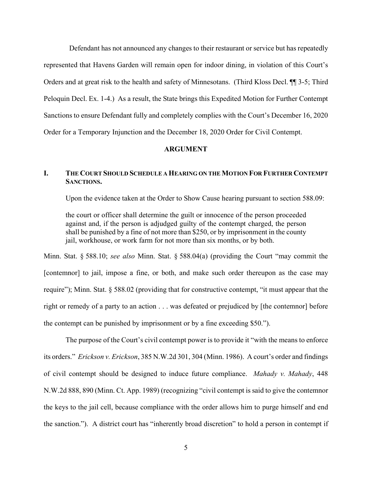Defendant has not announced any changes to their restaurant or service but has repeatedly represented that Havens Garden will remain open for indoor dining, in violation of this Court's Orders and at great risk to the health and safety of Minnesotans. (Third Kloss Decl. ¶¶ 3-5; Third Peloquin Decl. Ex. 1-4.) As a result, the State brings this Expedited Motion for Further Contempt Sanctions to ensure Defendant fully and completely complies with the Court's December 16, 2020 Order for a Temporary Injunction and the December 18, 2020 Order for Civil Contempt.

#### **ARGUMENT**

## **I. THE COURT SHOULD SCHEDULE A HEARING ON THE MOTION FOR FURTHER CONTEMPT SANCTIONS.**

Upon the evidence taken at the Order to Show Cause hearing pursuant to section 588.09:

the court or officer shall determine the guilt or innocence of the person proceeded against and, if the person is adjudged guilty of the contempt charged, the person shall be punished by a fine of not more than \$250, or by imprisonment in the county jail, workhouse, or work farm for not more than six months, or by both.

Minn. Stat. § 588.10; *see also* Minn. Stat. § 588.04(a) (providing the Court "may commit the [contemnor] to jail, impose a fine, or both, and make such order thereupon as the case may require"); Minn. Stat. § 588.02 (providing that for constructive contempt, "it must appear that the right or remedy of a party to an action . . . was defeated or prejudiced by [the contemnor] before the contempt can be punished by imprisonment or by a fine exceeding \$50.").

The purpose of the Court's civil contempt power is to provide it "with the means to enforce its orders." *Erickson v. Erickson*, 385 N.W.2d 301, 304 (Minn. 1986). A court's order and findings of civil contempt should be designed to induce future compliance. *Mahady v. Mahady*, 448 N.W.2d 888, 890 (Minn. Ct. App. 1989) (recognizing "civil contempt is said to give the contemnor the keys to the jail cell, because compliance with the order allows him to purge himself and end the sanction."). A district court has "inherently broad discretion" to hold a person in contempt if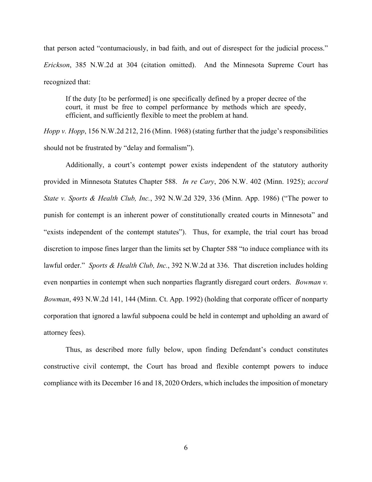that person acted "contumaciously, in bad faith, and out of disrespect for the judicial process." *Erickson*, 385 N.W.2d at 304 (citation omitted). And the Minnesota Supreme Court has recognized that:

If the duty [to be performed] is one specifically defined by a proper decree of the court, it must be free to compel performance by methods which are speedy, efficient, and sufficiently flexible to meet the problem at hand.

*Hopp v. Hopp*, 156 N.W.2d 212, 216 (Minn. 1968) (stating further that the judge's responsibilities should not be frustrated by "delay and formalism").

Additionally, a court's contempt power exists independent of the statutory authority provided in Minnesota Statutes Chapter 588. *In re Cary*, 206 N.W. 402 (Minn. 1925); *accord State v. Sports & Health Club, Inc.*, 392 N.W.2d 329, 336 (Minn. App. 1986) ("The power to punish for contempt is an inherent power of constitutionally created courts in Minnesota" and "exists independent of the contempt statutes"). Thus, for example, the trial court has broad discretion to impose fines larger than the limits set by Chapter 588 "to induce compliance with its lawful order." *Sports & Health Club, Inc.*, 392 N.W.2d at 336. That discretion includes holding even nonparties in contempt when such nonparties flagrantly disregard court orders. *Bowman v. Bowman*, 493 N.W.2d 141, 144 (Minn. Ct. App. 1992) (holding that corporate officer of nonparty corporation that ignored a lawful subpoena could be held in contempt and upholding an award of attorney fees).

Thus, as described more fully below, upon finding Defendant's conduct constitutes constructive civil contempt, the Court has broad and flexible contempt powers to induce compliance with its December 16 and 18, 2020 Orders, which includes the imposition of monetary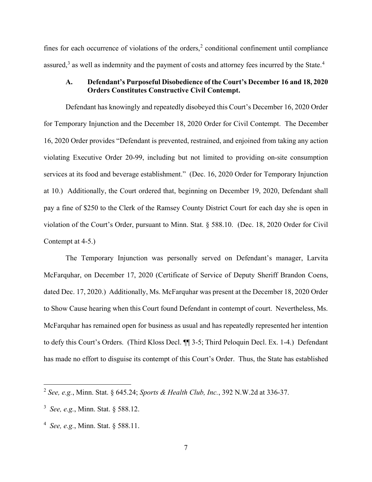fines for each occurrence of violations of the orders, [2](#page-6-0) conditional confinement until compliance assured, $3$  as well as indemnity and the payment of costs and attorney fees incurred by the State. $4$ 

## **A. Defendant's Purposeful Disobedience of the Court's December 16 and 18, 2020 Orders Constitutes Constructive Civil Contempt.**

Defendant has knowingly and repeatedly disobeyed this Court's December 16, 2020 Order for Temporary Injunction and the December 18, 2020 Order for Civil Contempt. The December 16, 2020 Order provides "Defendant is prevented, restrained, and enjoined from taking any action violating Executive Order 20-99, including but not limited to providing on-site consumption services at its food and beverage establishment." (Dec. 16, 2020 Order for Temporary Injunction at 10.) Additionally, the Court ordered that, beginning on December 19, 2020, Defendant shall pay a fine of \$250 to the Clerk of the Ramsey County District Court for each day she is open in violation of the Court's Order, pursuant to Minn. Stat. § 588.10. (Dec. 18, 2020 Order for Civil Contempt at 4-5.)

The Temporary Injunction was personally served on Defendant's manager, Larvita McFarquhar, on December 17, 2020 (Certificate of Service of Deputy Sheriff Brandon Coens, dated Dec. 17, 2020.) Additionally, Ms. McFarquhar was present at the December 18, 2020 Order to Show Cause hearing when this Court found Defendant in contempt of court. Nevertheless, Ms. McFarquhar has remained open for business as usual and has repeatedly represented her intention to defy this Court's Orders. (Third Kloss Decl. ¶¶ 3-5; Third Peloquin Decl. Ex. 1-4.) Defendant has made no effort to disguise its contempt of this Court's Order. Thus, the State has established

<span id="page-6-0"></span><sup>2</sup> *See, e.g.*, Minn. Stat. § 645.24; *Sports & Health Club, Inc.*, 392 N.W.2d at 336-37.

<span id="page-6-1"></span><sup>3</sup> *See, e.g.*, Minn. Stat. § 588.12.

<span id="page-6-2"></span><sup>4</sup> *See, e.g.*, Minn. Stat. § 588.11.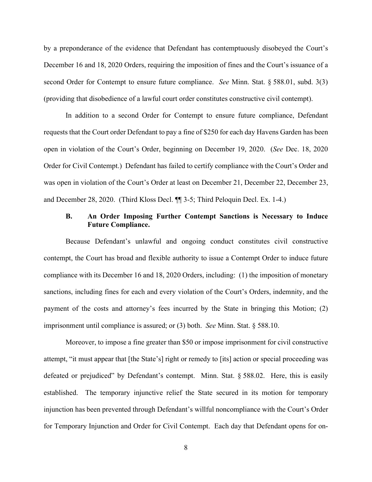by a preponderance of the evidence that Defendant has contemptuously disobeyed the Court's December 16 and 18, 2020 Orders, requiring the imposition of fines and the Court's issuance of a second Order for Contempt to ensure future compliance. *See* Minn. Stat. § 588.01, subd. 3(3) (providing that disobedience of a lawful court order constitutes constructive civil contempt).

In addition to a second Order for Contempt to ensure future compliance, Defendant requests that the Court order Defendant to pay a fine of \$250 for each day Havens Garden has been open in violation of the Court's Order, beginning on December 19, 2020. (*See* Dec. 18, 2020 Order for Civil Contempt.) Defendant has failed to certify compliance with the Court's Order and was open in violation of the Court's Order at least on December 21, December 22, December 23, and December 28, 2020. (Third Kloss Decl. ¶¶ 3-5; Third Peloquin Decl. Ex. 1-4.)

## **B. An Order Imposing Further Contempt Sanctions is Necessary to Induce Future Compliance.**

Because Defendant's unlawful and ongoing conduct constitutes civil constructive contempt, the Court has broad and flexible authority to issue a Contempt Order to induce future compliance with its December 16 and 18, 2020 Orders, including: (1) the imposition of monetary sanctions, including fines for each and every violation of the Court's Orders, indemnity, and the payment of the costs and attorney's fees incurred by the State in bringing this Motion; (2) imprisonment until compliance is assured; or (3) both. *See* Minn. Stat. § 588.10.

Moreover, to impose a fine greater than \$50 or impose imprisonment for civil constructive attempt, "it must appear that [the State's] right or remedy to [its] action or special proceeding was defeated or prejudiced" by Defendant's contempt. Minn. Stat. § 588.02. Here, this is easily established. The temporary injunctive relief the State secured in its motion for temporary injunction has been prevented through Defendant's willful noncompliance with the Court's Order for Temporary Injunction and Order for Civil Contempt. Each day that Defendant opens for on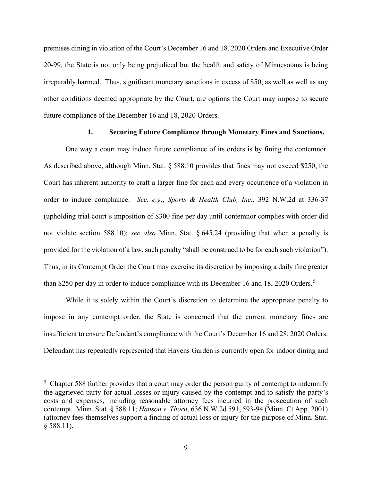premises dining in violation of the Court's December 16 and 18, 2020 Orders and Executive Order 20-99, the State is not only being prejudiced but the health and safety of Minnesotans is being irreparably harmed. Thus, significant monetary sanctions in excess of \$50, as well as well as any other conditions deemed appropriate by the Court, are options the Court may impose to secure future compliance of the December 16 and 18, 2020 Orders.

### **1. Securing Future Compliance through Monetary Fines and Sanctions.**

One way a court may induce future compliance of its orders is by fining the contemnor. As described above, although Minn. Stat. § 588.10 provides that fines may not exceed \$250, the Court has inherent authority to craft a larger fine for each and every occurrence of a violation in order to induce compliance. *See, e.g.*, *Sports & Health Club, Inc.*, 392 N.W.2d at 336-37 (upholding trial court's imposition of \$300 fine per day until contemnor complies with order did not violate section 588.10); *see also* Minn. Stat. § 645.24 (providing that when a penalty is provided for the violation of a law, such penalty "shall be construed to be for each such violation"). Thus, in its Contempt Order the Court may exercise its discretion by imposing a daily fine greater than \$2[5](#page-8-0)0 per day in order to induce compliance with its December 16 and 18, 2020 Orders.<sup>5</sup>

While it is solely within the Court's discretion to determine the appropriate penalty to impose in any contempt order, the State is concerned that the current monetary fines are insufficient to ensure Defendant's compliance with the Court's December 16 and 28, 2020 Orders. Defendant has repeatedly represented that Havens Garden is currently open for indoor dining and

<span id="page-8-0"></span> $5$  Chapter 588 further provides that a court may order the person guilty of contempt to indemnify the aggrieved party for actual losses or injury caused by the contempt and to satisfy the party's costs and expenses, including reasonable attorney fees incurred in the prosecution of such contempt. Minn. Stat. § 588.11; *Hanson v. Thorn*, 636 N.W.2d 591, 593-94 (Minn. Ct App. 2001) (attorney fees themselves support a finding of actual loss or injury for the purpose of Minn. Stat. § 588.11).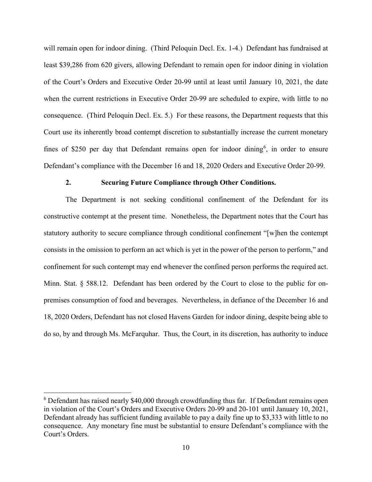will remain open for indoor dining. (Third Peloquin Decl. Ex. 1-4.) Defendant has fundraised at least \$39,286 from 620 givers, allowing Defendant to remain open for indoor dining in violation of the Court's Orders and Executive Order 20-99 until at least until January 10, 2021, the date when the current restrictions in Executive Order 20-99 are scheduled to expire, with little to no consequence. (Third Peloquin Decl. Ex. 5.) For these reasons, the Department requests that this Court use its inherently broad contempt discretion to substantially increase the current monetary fines of \$250 per day that Defendant remains open for indoor dining<sup>[6](#page-9-0)</sup>, in order to ensure Defendant's compliance with the December 16 and 18, 2020 Orders and Executive Order 20-99.

### **2. Securing Future Compliance through Other Conditions.**

The Department is not seeking conditional confinement of the Defendant for its constructive contempt at the present time. Nonetheless, the Department notes that the Court has statutory authority to secure compliance through conditional confinement "[w]hen the contempt consists in the omission to perform an act which is yet in the power of the person to perform," and confinement for such contempt may end whenever the confined person performs the required act. Minn. Stat. § 588.12. Defendant has been ordered by the Court to close to the public for onpremises consumption of food and beverages. Nevertheless, in defiance of the December 16 and 18, 2020 Orders, Defendant has not closed Havens Garden for indoor dining, despite being able to do so, by and through Ms. McFarquhar. Thus, the Court, in its discretion, has authority to induce

<span id="page-9-0"></span> $6$  Defendant has raised nearly \$40,000 through crowdfunding thus far. If Defendant remains open in violation of the Court's Orders and Executive Orders 20-99 and 20-101 until January 10, 2021, Defendant already has sufficient funding available to pay a daily fine up to \$3,333 with little to no consequence. Any monetary fine must be substantial to ensure Defendant's compliance with the Court's Orders.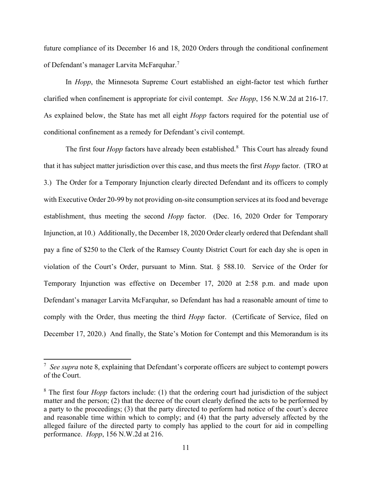future compliance of its December 16 and 18, 2020 Orders through the conditional confinement of Defendant's manager Larvita McFarquhar.<sup>[7](#page-10-0)</sup>

In *Hopp*, the Minnesota Supreme Court established an eight-factor test which further clarified when confinement is appropriate for civil contempt. *See Hopp*, 156 N.W.2d at 216-17. As explained below, the State has met all eight *Hopp* factors required for the potential use of conditional confinement as a remedy for Defendant's civil contempt.

The first four *Hopp* factors have already been established.<sup>[8](#page-10-1)</sup> This Court has already found that it has subject matter jurisdiction over this case, and thus meets the first *Hopp* factor. (TRO at 3.) The Order for a Temporary Injunction clearly directed Defendant and its officers to comply with Executive Order 20-99 by not providing on-site consumption services at its food and beverage establishment, thus meeting the second *Hopp* factor. (Dec. 16, 2020 Order for Temporary Injunction, at 10.) Additionally, the December 18, 2020 Order clearly ordered that Defendant shall pay a fine of \$250 to the Clerk of the Ramsey County District Court for each day she is open in violation of the Court's Order, pursuant to Minn. Stat. § 588.10. Service of the Order for Temporary Injunction was effective on December 17, 2020 at 2:58 p.m. and made upon Defendant's manager Larvita McFarquhar, so Defendant has had a reasonable amount of time to comply with the Order, thus meeting the third *Hopp* factor. (Certificate of Service, filed on December 17, 2020.) And finally, the State's Motion for Contempt and this Memorandum is its

<span id="page-10-0"></span><sup>7</sup> *See supra* note 8, explaining that Defendant's corporate officers are subject to contempt powers of the Court.

<span id="page-10-1"></span><sup>8</sup> The first four *Hopp* factors include: (1) that the ordering court had jurisdiction of the subject matter and the person; (2) that the decree of the court clearly defined the acts to be performed by a party to the proceedings; (3) that the party directed to perform had notice of the court's decree and reasonable time within which to comply; and (4) that the party adversely affected by the alleged failure of the directed party to comply has applied to the court for aid in compelling performance. *Hopp*, 156 N.W.2d at 216.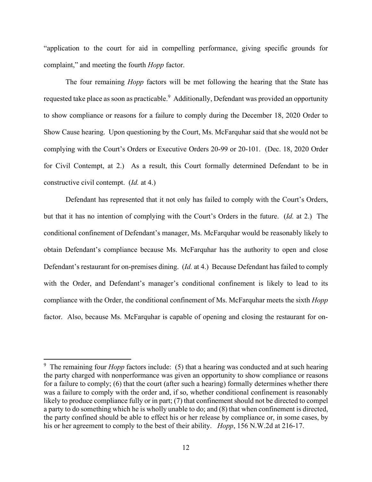"application to the court for aid in compelling performance, giving specific grounds for complaint," and meeting the fourth *Hopp* factor.

The four remaining *Hopp* factors will be met following the hearing that the State has requested take place as soon as practicable.<sup>[9](#page-11-0)</sup> Additionally, Defendant was provided an opportunity to show compliance or reasons for a failure to comply during the December 18, 2020 Order to Show Cause hearing. Upon questioning by the Court, Ms. McFarquhar said that she would not be complying with the Court's Orders or Executive Orders 20-99 or 20-101. (Dec. 18, 2020 Order for Civil Contempt, at 2.) As a result, this Court formally determined Defendant to be in constructive civil contempt. (*Id.* at 4.)

Defendant has represented that it not only has failed to comply with the Court's Orders, but that it has no intention of complying with the Court's Orders in the future. (*Id.* at 2.) The conditional confinement of Defendant's manager, Ms. McFarquhar would be reasonably likely to obtain Defendant's compliance because Ms. McFarquhar has the authority to open and close Defendant's restaurant for on-premises dining. (*Id.* at 4.) Because Defendant has failed to comply with the Order, and Defendant's manager's conditional confinement is likely to lead to its compliance with the Order, the conditional confinement of Ms. McFarquhar meets the sixth *Hopp* factor. Also, because Ms. McFarquhar is capable of opening and closing the restaurant for on-

<span id="page-11-0"></span><sup>&</sup>lt;sup>9</sup> The remaining four *Hopp* factors include: (5) that a hearing was conducted and at such hearing the party charged with nonperformance was given an opportunity to show compliance or reasons for a failure to comply; (6) that the court (after such a hearing) formally determines whether there was a failure to comply with the order and, if so, whether conditional confinement is reasonably likely to produce compliance fully or in part; (7) that confinement should not be directed to compel a party to do something which he is wholly unable to do; and (8) that when confinement is directed, the party confined should be able to effect his or her release by compliance or, in some cases, by his or her agreement to comply to the best of their ability. *Hopp*, 156 N.W.2d at 216-17.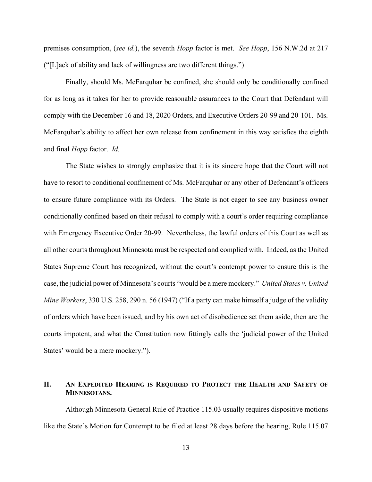premises consumption, (*see id.*), the seventh *Hopp* factor is met. *See Hopp*, 156 N.W.2d at 217 ("[L]ack of ability and lack of willingness are two different things.")

Finally, should Ms. McFarquhar be confined, she should only be conditionally confined for as long as it takes for her to provide reasonable assurances to the Court that Defendant will comply with the December 16 and 18, 2020 Orders, and Executive Orders 20-99 and 20-101. Ms. McFarquhar's ability to affect her own release from confinement in this way satisfies the eighth and final *Hopp* factor. *Id.*

The State wishes to strongly emphasize that it is its sincere hope that the Court will not have to resort to conditional confinement of Ms. McFarquhar or any other of Defendant's officers to ensure future compliance with its Orders. The State is not eager to see any business owner conditionally confined based on their refusal to comply with a court's order requiring compliance with Emergency Executive Order 20-99. Nevertheless, the lawful orders of this Court as well as all other courts throughout Minnesota must be respected and complied with. Indeed, as the United States Supreme Court has recognized, without the court's contempt power to ensure this is the case, the judicial power of Minnesota's courts "would be a mere mockery." *United States v. United Mine Workers*, 330 U.S. 258, 290 n. 56 (1947) ("If a party can make himself a judge of the validity of orders which have been issued, and by his own act of disobedience set them aside, then are the courts impotent, and what the Constitution now fittingly calls the 'judicial power of the United States' would be a mere mockery.").

## **II. AN EXPEDITED HEARING IS REQUIRED TO PROTECT THE HEALTH AND SAFETY OF MINNESOTANS.**

Although Minnesota General Rule of Practice 115.03 usually requires dispositive motions like the State's Motion for Contempt to be filed at least 28 days before the hearing, Rule 115.07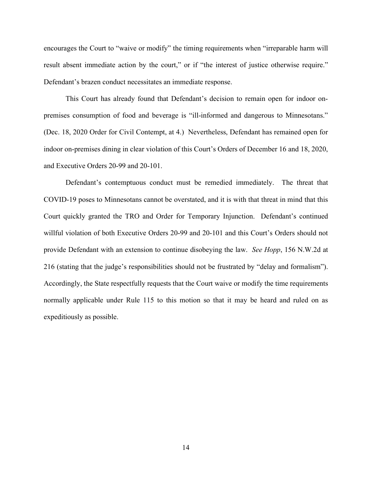encourages the Court to "waive or modify" the timing requirements when "irreparable harm will result absent immediate action by the court," or if "the interest of justice otherwise require." Defendant's brazen conduct necessitates an immediate response.

This Court has already found that Defendant's decision to remain open for indoor onpremises consumption of food and beverage is "ill-informed and dangerous to Minnesotans." (Dec. 18, 2020 Order for Civil Contempt, at 4.) Nevertheless, Defendant has remained open for indoor on-premises dining in clear violation of this Court's Orders of December 16 and 18, 2020, and Executive Orders 20-99 and 20-101.

Defendant's contemptuous conduct must be remedied immediately. The threat that COVID-19 poses to Minnesotans cannot be overstated, and it is with that threat in mind that this Court quickly granted the TRO and Order for Temporary Injunction. Defendant's continued willful violation of both Executive Orders 20-99 and 20-101 and this Court's Orders should not provide Defendant with an extension to continue disobeying the law. *See Hopp*, 156 N.W.2d at 216 (stating that the judge's responsibilities should not be frustrated by "delay and formalism"). Accordingly, the State respectfully requests that the Court waive or modify the time requirements normally applicable under Rule 115 to this motion so that it may be heard and ruled on as expeditiously as possible.